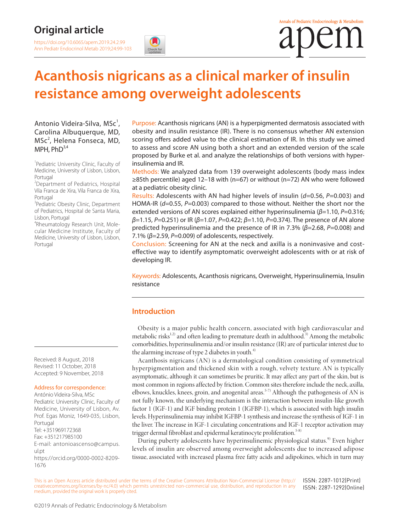# **Original article**

<https://doi.org/10.6065/apem.2019.24.2.99> Ann Pediatr Endocrinol Metab 2019;24:99-103

# **Acanthosis nigricans as a clinical marker of insulin resistance among overweight adolescents**

## Antonio Videira-Silva, MSc<sup>1</sup>, Carolina Albuquerque, MD, MSc<sup>2</sup>, Helena Fonseca, MD, MPH,  $PhD^{3,4}$

<sup>1</sup>Pediatric University Clinic, Faculty of Medicine, University of Lisbon, Lisbon, Portugal

<sup>2</sup>Department of Pediatrics, Hospital Vila Franca de Xira, Vila Franca de Xira, Portugal

<sup>3</sup>Pediatric Obesity Clinic, Department of Pediatrics, Hospital de Santa Maria, Lisbon, Portugal

4 Rheumatology Research Unit, Molecular Medicine Institute, Faculty of Medicine, University of Lisbon, Lisbon, Portugal

Received: 8 August, 2018 Revised: 11 October, 2018 Accepted: 9 November, 2018

#### Address for correspondence:

António Videira-Silva, MSc Pediatric University Clinic, Faculty of Medicine, University of Lisbon, Av. Prof. Egas Moniz, 1649-035, Lisbon, Portugal Tel: +351969172368 Fax: +351217985100 E-mail: antonioascenso@campus. ul.pt [https://orcid.org/0000-0002-8209-](https://orcid.org/0000-0002-8209-1676)[1676](https://orcid.org/0000-0002-8209-1676)

Purpose: Acanthosis nigricans (AN) is a hyperpigmented dermatosis associated with obesity and insulin resistance (IR). There is no consensus whether AN extension scoring offers added value to the clinical estimation of IR. In this study we aimed to assess and score AN using both a short and an extended version of the scale proposed by Burke et al. and analyze the relationships of both versions with hyperinsulinemia and IR.

Methods: We analyzed data from 139 overweight adolescents (body mass index ≥85th percentile) aged 12–18 with (n=67) or without (n=72) AN who were followed at a pediatric obesity clinic.

Results: Adolescents with AN had higher levels of insulin (*d*=0.56, *P*=0.003) and HOMA-IR (*d*=0.55, *P*=0.003) compared to those without. Neither the short nor the extended versions of AN scores explained either hyperinsulinemia (*β*=1.10, *P*=0.316; *β*=1.15, *P*=0.251) or IR (*β*=1.07, *P*=0.422; *β*=1.10, *P*=0.374). The presence of AN alone predicted hyperinsulinemia and the presence of IR in 7.3% (*β*=2.68, *P*=0.008) and 7.1% (*β*=2.59, *P*=0.009) of adolescents, respectively.

Conclusion: Screening for AN at the neck and axilla is a noninvasive and costeffective way to identify asymptomatic overweight adolescents with or at risk of developing IR.

Keywords: Adolescents, Acanthosis nigricans, Overweight, Hyperinsulinemia, Insulin resistance

## **Introduction**

Obesity is a major public health concern, associated with high cardiovascular and metabolic risks<sup>1,2)</sup> and often leading to premature death in adulthood.<sup>3)</sup> Among the metabolic comorbidities, hyperinsulinemia and/or insulin resistance (IR) are of particular interest due to the alarming increase of type 2 diabetes in youth.<sup>4)</sup>

Acanthosis nigricans (AN) is a dermatological condition consisting of symmetrical hyperpigmentation and thickened skin with a rough, velvety texture. AN is typically asymptomatic, although it can sometimes be pruritic. It may affect any part of the skin, but is most common in regions affected by friction. Common sites therefore include the neck, axilla, elbows, knuckles, knees, groin, and anogenital areas.<sup>5-7)</sup> Although the pathogenesis of AN is not fully known, the underlying mechanism is the interaction between insulin-like growth factor 1 (IGF-1) and IGF binding protein 1 (IGFBP-1), which is associated with high insulin levels. Hyperinsulinemia may inhibit IGFBP-1 synthesis and increase the synthesis of IGF-1 in the liver. The increase in IGF-1 circulating concentrations and IGF-1 receptor activation may trigger dermal fibroblast and epidermal keratinocyte proliferation.<sup>5-8)</sup>

During puberty adolescents have hyperinsulinemic physiological status.<sup>9)</sup> Even higher levels of insulin are observed among overweight adolescents due to increased adipose tissue, associated with increased plasma free fatty acids and adipokines, which in turn may

This is an Open Access article distributed under the terms of the Creative Commons Attribution Non-Commercial License ([http://](http://creativecommons.org/licenses/by-nc/4.0) [creativecommons.org/licenses/by-nc/4.0\)](http://creativecommons.org/licenses/by-nc/4.0) which permits unrestricted non-commercial use, distribution, and reproduction in any medium, provided the original work is properly cited. ISSN: 2287-1012(Print) ISSN: 2287-1292(Online)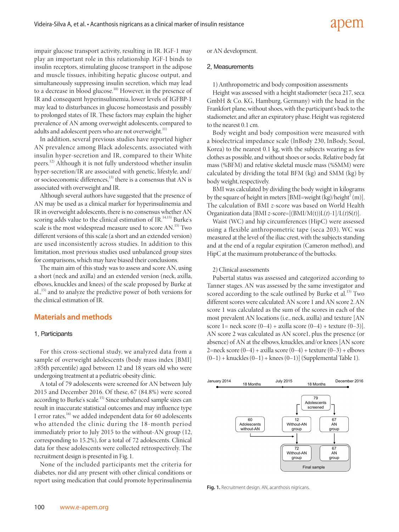impair glucose transport activity, resulting in IR. IGF-1 may play an important role in this relationship. IGF-I binds to insulin receptors, stimulating glucose transport in the adipose and muscle tissues, inhibiting hepatic glucose output, and simultaneously suppressing insulin secretion, which may lead to a decrease in blood glucose.<sup>10)</sup> However, in the presence of IR and consequent hyperinsulinemia, lower levels of IGFBP-1 may lead to disturbances in glucose homeostasis and possibly to prolonged states of IR. These factors may explain the higher prevalence of AN among overweight adolescents, compared to adults and adolescent peers who are not overweight.<sup>11)</sup>

In addition, several previous studies have reported higher AN prevalence among Black adolescents, associated with insulin hyper-secretion and IR, compared to their White peers.<sup>12)</sup> Although it is not fully understood whether insulin hyper-secretion/IR are associated with genetic, lifestyle, and/ or socioeconomic differences,<sup>13)</sup> there is a consensus that AN is associated with overweight and IR.

Although several authors have suggested that the presence of AN may be used as a clinical marker for hyperinsulinemia and IR in overweight adolescents, there is no consensus whether AN scoring adds value to the clinical estimation of IR.<sup>14,15)</sup> Burke's scale is the most widespread measure used to score AN.<sup>15)</sup> Two different versions of this scale (a short and an extended version) are used inconsistently across studies. In addition to this limitation, most previous studies used unbalanced group sizes for comparisons, which may have biased their conclusions.

The main aim of this study was to assess and score AN, using a short (neck and axilla) and an extended version (neck, axilla, elbows, knuckles and knees) of the scale proposed by Burke at al.,15) and to analyze the predictive power of both versions for the clinical estimation of IR.

## **Materials and methods**

#### 1. Participants

For this cross-sectional study, we analyzed data from a sample of overweight adolescents (body mass index [BMI] ≥85th percentile) aged between 12 and 18 years old who were undergoing treatment at a pediatric obesity clinic.

A total of 79 adolescents were screened for AN between July 2015 and December 2016. Of these, 67 (84.8%) were scored according to Burke's scale.<sup>15)</sup> Since unbalanced sample sizes can result in inaccurate statistical outcomes and may influence type I error rates,<sup>16)</sup> we added independent data for 60 adolescents who attended the clinic during the 18-month period immediately prior to July 2015 to the without-AN group (12, corresponding to 15.2%), for a total of 72 adolescents. Clinical data for these adolescents were collected retrospectively. The recruitment design is presented in Fig. 1.

None of the included participants met the criteria for diabetes, nor did any present with other clinical conditions or report using medication that could promote hyperinsulinemia or AN development.

#### 2. Measurements

1) Anthropometric and body composition assessments

Height was assessed with a height stadiometer (seca 217, seca GmbH & Co. KG, Hamburg, Germany) with the head in the Frankfort plane, without shoes, with the participant's back to the stadiometer, and after an expiratory phase. Height was registered to the nearest 0.1 cm.

Body weight and body composition were measured with a bioelectrical impedance scale (InBody 230, InBody, Seoul, Korea) to the nearest 0.1 kg, with the subjects wearing as few clothes as possible, and without shoes or socks. Relative body fat mass (%BFM) and relative skeletal muscle mass (%SMM) were calculated by dividing the total BFM (kg) and SMM (kg) by body weight, respectively.

BMI was calculated by dividing the body weight in kilograms by the square of height in meters [BMI=weight (kg)/height<sup>2</sup> (m)]. The calculation of BMI *z*-score was based on World Health Organization data [BMI *z*-score=[(BMI/M(t))L(*t*)-1]/L(*t*)S(*t*)].

Waist (WC) and hip circumferences (HipC) were assessed using a flexible anthropometric tape (seca 203). WC was measured at the level of the iliac crest, with the subjects standing and at the end of a regular expiration (Cameron method), and HipC at the maximum protuberance of the buttocks.

#### 2) Clinical assessments

Pubertal status was assessed and categorized according to Tanner stages. AN was assessed by the same investigator and scored according to the scale outlined by Burke et al.<sup>15)</sup> Two different scores were calculated: AN score 1 and AN score 2. AN score 1 was calculated as the sum of the scores in each of the most prevalent AN locations (i.e., neck, axilla) and texture [AN score 1= neck score  $(0-4)$  + axilla score  $(0-4)$  + texture  $(0-3)$ ]. AN score 2 was calculated as AN score1, plus the presence (or absence) of AN at the elbows, knuckles, and/or knees [AN score 2=neck score  $(0-4)$  + axilla score  $(0-4)$  + texture  $(0-3)$  + elbows  $(0-1)$  + knuckles  $(0-1)$  + knees  $(0-1)$ ] (Supplemental Table 1).



**Fig. 1.** Recruitment design. AN, acanthosis nigricans.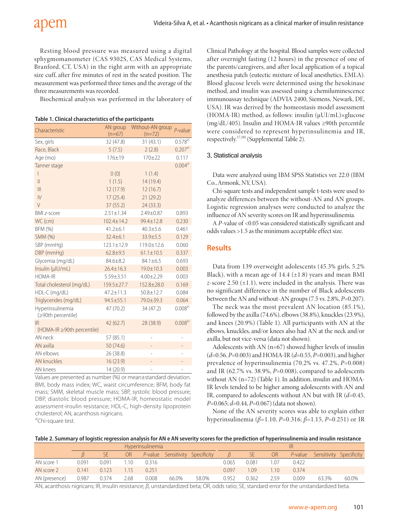Resting blood pressure was measured using a digital sphygmomanometer (CAS 9302S, CAS Medical Systems, Branford, CT, USA) in the right arm with an appropriate size cuff, after five minutes of rest in the seated position. The measurement was performed three times and the average of the three measurements was recorded.

Biochemical analysis was performed in the laboratory of

| Characteristic                         | AN group<br>$(n=67)$ | Without-AN group<br>$(n=72)$ | $P$ -value  |
|----------------------------------------|----------------------|------------------------------|-------------|
| Sex, girls                             | 32 (47.8)            | 31(43.1)                     | $0.578^{a}$ |
| Race, Black                            | 5(7.5)               | 2(2.8)                       | $0.207a}$   |
| Age (mo)                               | 176±19               | $170 + 22$                   | 0.117       |
| Tanner stage                           |                      |                              | $0.004^{a}$ |
|                                        | 0(0)                 | 1(1.4)                       |             |
| $\mathbf{  }$                          | 1(1.5)               | 14 (19.4)                    |             |
| $\mathbb{H}$                           | 12 (17.9)            | 12(16.7)                     |             |
| $\mathsf{IV}$                          | 17(25.4)             | 21(29.2)                     |             |
| $\vee$                                 | 37(55.2)             | 24(33.3)                     |             |
| <b>BMI z-score</b>                     | $2.51 \pm 1.34$      | 2.49±0.87                    | 0.893       |
| WC (cm)                                | 102.4±14.2           | 99.4±12.8                    | 0.230       |
| BFM (%)                                | $41.2 \pm 6.1$       | $40.3 \pm 5.6$               | 0.461       |
| SMM (%)                                | $32.4 \pm 6.1$       | 33.9±5.5                     | 0.129       |
| SBP (mmHg)                             | $123.1 \pm 12.9$     | 119.0±12.6                   | 0.060       |
| DBP (mmHg)                             | $62.8 + 9.5$         | $61.1 \pm 10.5$              | 0.337       |
| Glycemia (mg/dL)                       | 84.6±8.2             | 84.1±6.5                     | 0.693       |
| Insulin (µlU/mL)                       | $26.4 \pm 16.3$      | $19.0 \pm 10.3$              | 0.003       |
| <b>HOMA-IR</b>                         | $5.59 \pm 3.51$      | $4.00 \pm 2.29$              | 0.003       |
| Total cholesterol (mg/dL)              | 159.5±27.7           | 152.8±28.0                   | 0.169       |
| HDL-C (mg/dL)                          | 47.2±11.3            | $50.8 \pm 12.7$              | 0.084       |
| Triglycerides (mg/dL)                  | $94.5 \pm 55.1$      | 79.0±39.3                    | 0.064       |
| Hyperinsulinemia<br>(≥90th percentile) | 47 (70.2)            | 34 (47.2)                    | $0.008^{a}$ |
| IR.                                    | 42 (62.7)            | 28 (38.9)                    | $0.008a}$   |
| $(HOMA-IR \geq 90th$ percentile)       |                      |                              |             |
| AN neck                                | 57 (85.1)            |                              |             |
| AN axilla                              | 50 (74.6)            |                              |             |
| AN elbows                              | 26 (38.8)            |                              |             |
| <b>AN knuckles</b>                     | 16 (23.9)            |                              |             |
| AN knees                               | 14 (20.9)            |                              |             |

| Table 1. Clinical characteristics of the participants |
|-------------------------------------------------------|
|-------------------------------------------------------|

Values are presented as number (%) or mean±standard deviation. BMI, body mass index; WC, waist circumference; BFM, body fat mass; SMM, skeletal muscle mass; SBP, systolic blood pressure; DBP, diastolic blood pressure; HOMA-IR, homeostatic model assessment-insulin resistance; HDL-C, high-density lipoprotein cholesterol; AN, acanthosis nigricans. a)Chi-square test.

Clinical Pathology at the hospital. Blood samples were collected after overnight fasting (12 hours) in the presence of one of the parents/caregivers, and after local application of a topical anesthesia patch (eutectic mixture of local anesthetics, EMLA). Blood glucose levels were determined using the hexokinase method, and insulin was assessed using a chemiluminescence immunoassay technique (ADVIA 2400, Siemens, Newark, DE, USA). IR was derived by the homeostasis model assessment (HOMA-IR) method, as follows: insulin (μUI/mL)×glucose (mg/dL/405). Insulin and HOMA-IR values ≥90th percentile were considered to represent hyperinsulinemia and IR, respectively.<sup>17,18)</sup> (Supplemental Table 2).

## 3. Statistical analysis

Data were analyzed using IBM SPSS Statistics ver. 22.0 (IBM Co., Armonk, NY, USA).

Chi-square tests and independent sample t-tests were used to analyze differences between the without-AN and AN groups. Logistic regression analyses were conducted to analyze the influence of AN severity scores on IR and hyperinsulinemia.

A *P*-value of <0.05 was considered statistically significant and odds values >1.5 as the minimum acceptable effect size.

# **Results**

Data from 139 overweight adolescents (45.3% girls, 5.2% Black), with a mean age of 14.4  $(\pm 1.8)$  years and mean BMI *z*-score 2.50  $(\pm 1.1)$ , were included in the analysis. There was no significant difference in the number of Black adolescents between the AN and without-AN groups (7.5 vs. 2.8%, *P*=0.207).

The neck was the most prevalent AN location (85.1%), followed by the axilla (74.6%), elbows (38.8%), knuckles (23.9%), and knees (20.9%) (Table 1). All participants with AN at the elbows, knuckles, and/or knees also had AN at the neck and/or axilla, but not vice-versa (data not shown).

Adolescents with AN (n=67) showed higher levels of insulin (*d*=0.56, *P*=0.003) and HOMA-IR (*d*=0.55, *P*=0.003), and higher prevalence of hyperinsulinemia (70.2% vs. 47.2%, *P*=0.008) and IR (62.7% vs. 38.9%, *P*=0.008), compared to adolescents without AN (n=72) (Table 1). In addition, insulin and HOMA-IR levels tended to be higher among adolescents with AN and IR, compared to adolescents without AN but with IR (*d*=0.45, *P*=0.065; *d*=0.44, *P*=0.067) (data not shown).

None of the AN severity scores was able to explain either hyperinsulinemia (*β*=1.10, *P*=0.316; *β*=1.15, *P*=0.251) or IR

#### **Table 2. Summary of logistic regression analysis for AN e AN severity scores for the prediction of hyperinsulinemia and insulin resistance**

|                                                                                                                                                                                                                                  | Hyperinsulinemia |       |      |       |                                                                                                                 | IR    |       |       |           |                             |                         |       |
|----------------------------------------------------------------------------------------------------------------------------------------------------------------------------------------------------------------------------------|------------------|-------|------|-------|-----------------------------------------------------------------------------------------------------------------|-------|-------|-------|-----------|-----------------------------|-------------------------|-------|
|                                                                                                                                                                                                                                  |                  | SE.   | OR   |       | P-value Sensitivity Specificity                                                                                 |       |       | SE.   | <b>OR</b> | P-value                     | Sensitivity Specificity |       |
| AN score 1                                                                                                                                                                                                                       | 0.091            | 0.091 | -10  | 0.316 |                                                                                                                 |       | 0.065 | 0.081 | .07       | 0.422                       |                         |       |
| AN score 2                                                                                                                                                                                                                       | 0.141            | 0.123 |      | 0.251 |                                                                                                                 |       | 0.097 | 1.09  | l.10      | 0.374                       |                         |       |
| AN (presence)                                                                                                                                                                                                                    | 0.987            | 0.374 | 2.68 | 0.008 | 66.0%                                                                                                           | 58.0% | 0.952 | 0.362 | 2 59      | 0.009                       | 63.3%                   | 60.0% |
| $\cdots$ . The contract of the contract of the contract of the contract of the contract of the contract of the contract of the contract of the contract of the contract of the contract of the contract of the contract of the c |                  |       |      |       | the contract of the contract of the contract of the contract of the contract of the contract of the contract of |       |       |       |           | $\sim$ $\sim$ $\sim$ $\sim$ |                         |       |

AN, acanthosis nigricans; IR, insulin resistance; *β*, unstandardized beta; OR, odds ratio; SE, standard error for the unstandardized beta.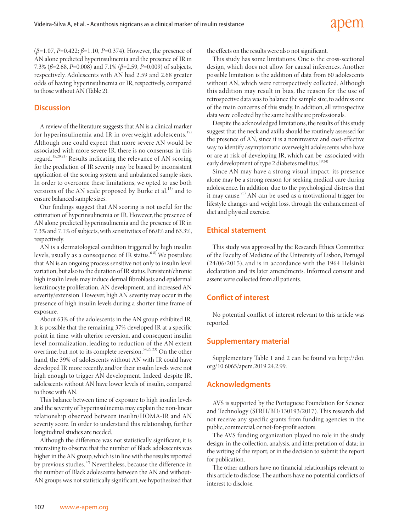(*β*=1.07, *P*=0.422; *β*=1.10, *P*=0.374). However, the presence of AN alone predicted hyperinsulinemia and the presence of IR in 7.3% (*β*=2.68, *P*=0.008) and 7.1% (*β*=2.59, *P*=0.009) of subjects, respectively. Adolescents with AN had 2.59 and 2.68 greater odds of having hyperinsulinemia or IR, respectively, compared to those without AN (Table 2).

# **Discussion**

A review of the literature suggests that AN is a clinical marker for hyperinsulinemia and IR in overweight adolescents.<sup>19)</sup> Although one could expect that more severe AN would be associated with more severe IR, there is no consensus in this regard.<sup>15,20,21)</sup> Results indicating the relevance of AN scoring for the prediction of IR severity may be biased by inconsistent application of the scoring system and unbalanced sample sizes. In order to overcome these limitations, we opted to use both versions of the AN scale proposed by Burke et al. $^{15)}$  and to ensure balanced sample sizes.

Our findings suggest that AN scoring is not useful for the estimation of hyperinsulinemia or IR. However, the presence of AN alone predicted hyperinsulinemia and the presence of IR in 7.3% and 7.1% of subjects, with sensitivities of 66.0% and 63.3%, respectively.

AN is a dermatological condition triggered by high insulin levels, usually as a consequence of IR status.<sup>6-8)</sup> We postulate that AN is an ongoing process sensitive not only to insulin level variation, but also to the duration of IR status. Persistent/chronic high insulin levels may induce dermal fibroblasts and epidermal keratinocyte proliferation, AN development, and increased AN severity/extension. However, high AN severity may occur in the presence of high insulin levels during a shorter time frame of exposure.

About 63% of the adolescents in the AN group exhibited IR. It is possible that the remaining 37% developed IR at a specific point in time, with ulterior reversion, and consequent insulin level normalization, leading to reduction of the AN extent overtime, but not to its complete reversion.<sup>5,6,22,23)</sup> On the other hand, the 39% of adolescents without AN with IR could have developed IR more recently, and/or their insulin levels were not high enough to trigger AN development. Indeed, despite IR, adolescents without AN have lower levels of insulin, compared to those with AN.

This balance between time of exposure to high insulin levels and the severity of hyperinsulinemia may explain the non-linear relationship observed between insulin/HOMA-IR and AN severity score. In order to understand this relationship, further longitudinal studies are needed.

Although the difference was not statistically significant, it is interesting to observe that the number of Black adolescents was higher in the AN group, which is in line with the results reported by previous studies.<sup>12)</sup> Nevertheless, because the difference in the number of Black adolescents between the AN and without-AN groups was not statistically significant, we hypothesized that the effects on the results were also not significant.

This study has some limitations. One is the cross-sectional design, which does not allow for causal inferences. Another possible limitation is the addition of data from 60 adolescents without AN, which were retrospectively collected. Although this addition may result in bias, the reason for the use of retrospective data was to balance the sample size, to address one of the main concerns of this study. In addition, all retrospective data were collected by the same healthcare professionals.

Despite the acknowledged limitations, the results of this study suggest that the neck and axilla should be routinely assessed for the presence of AN, since it is a noninvasive and cost-effective way to identify asymptomatic overweight adolescents who have or are at risk of developing IR, which can be associated with early development of type 2 diabetes mellitus.<sup>19,24)</sup>

Since AN may have a strong visual impact, its presence alone may be a strong reason for seeking medical care during adolescence. In addition, due to the psychological distress that it may cause,<sup>25)</sup> AN can be used as a motivational trigger for lifestyle changes and weight loss, through the enhancement of diet and physical exercise.

# **Ethical statement**

This study was approved by the Research Ethics Committee of the Faculty of Medicine of the University of Lisbon, Portugal (24/06/2015), and is in accordance with the 1964 Helsinki declaration and its later amendments. Informed consent and assent were collected from all patients.

# **Conflict of interest**

No potential conflict of interest relevant to this article was reported.

# **Supplementary material**

Supplementary Table 1 and 2 can be found via [http://doi.](http://doi.org/10.6065/apem.2019.24.2.99) [org/10.6065/apem.2019.24.2.99.](http://doi.org/10.6065/apem.2019.24.2.99)

# **Acknowledgments**

AVS is supported by the Portuguese Foundation for Science and Technology (SFRH/BD/130193/2017). This research did not receive any specific grants from funding agencies in the public, commercial, or not-for-profit sectors.

The AVS funding organization played no role in the study design; in the collection, analysis, and interpretation of data; in the writing of the report; or in the decision to submit the report for publication.

The other authors have no financial relationships relevant to this article to disclose. The authors have no potential conflicts of interest to disclose.